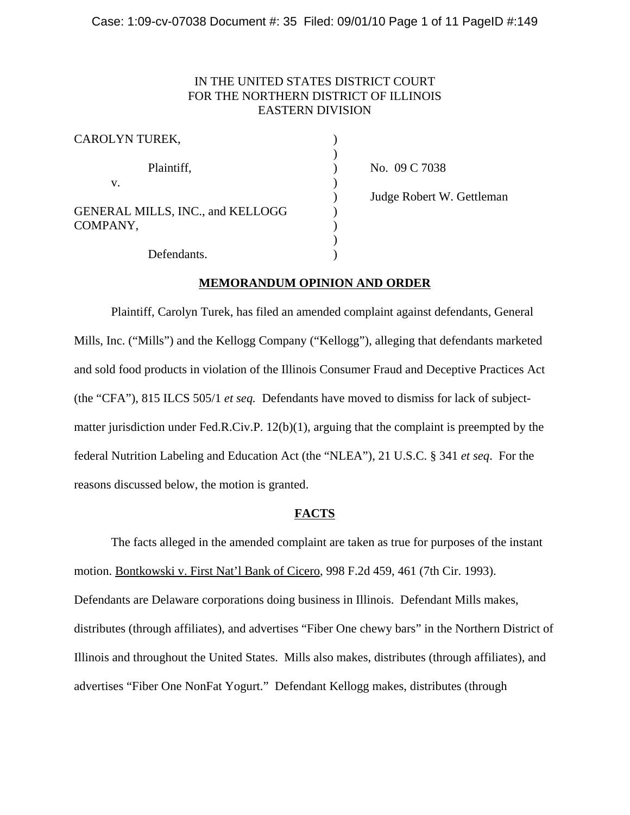# IN THE UNITED STATES DISTRICT COURT FOR THE NORTHERN DISTRICT OF ILLINOIS EASTERN DIVISION

| CAROLYN TUREK,                                      |  |
|-----------------------------------------------------|--|
| Plaintiff,                                          |  |
| V.                                                  |  |
| <b>GENERAL MILLS, INC., and KELLOGG</b><br>COMPANY, |  |
| Defendants.                                         |  |

No. 09 C 7038 ) Judge Robert W. Gettleman

## **MEMORANDUM OPINION AND ORDER**

Plaintiff, Carolyn Turek, has filed an amended complaint against defendants, General Mills, Inc. ("Mills") and the Kellogg Company ("Kellogg"), alleging that defendants marketed and sold food products in violation of the Illinois Consumer Fraud and Deceptive Practices Act (the "CFA"), 815 ILCS 505/1 *et seq.* Defendants have moved to dismiss for lack of subjectmatter jurisdiction under Fed.R.Civ.P. 12(b)(1), arguing that the complaint is preempted by the federal Nutrition Labeling and Education Act (the "NLEA"), 21 U.S.C. § 341 *et seq*. For the reasons discussed below, the motion is granted.

## **FACTS**

The facts alleged in the amended complaint are taken as true for purposes of the instant motion. Bontkowski v. First Nat'l Bank of Cicero, 998 F.2d 459, 461 (7th Cir. 1993). Defendants are Delaware corporations doing business in Illinois. Defendant Mills makes, distributes (through affiliates), and advertises "Fiber One chewy bars" in the Northern District of Illinois and throughout the United States. Mills also makes, distributes (through affiliates), and advertises "Fiber One NonFat Yogurt." Defendant Kellogg makes, distributes (through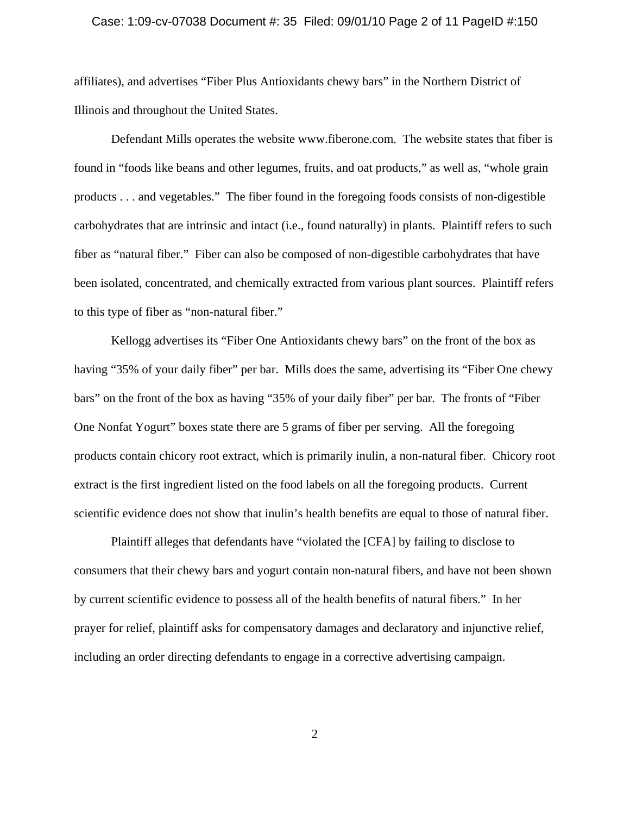#### Case: 1:09-cv-07038 Document #: 35 Filed: 09/01/10 Page 2 of 11 PageID #:150

affiliates), and advertises "Fiber Plus Antioxidants chewy bars" in the Northern District of Illinois and throughout the United States.

Defendant Mills operates the website www.fiberone.com. The website states that fiber is found in "foods like beans and other legumes, fruits, and oat products," as well as, "whole grain products . . . and vegetables." The fiber found in the foregoing foods consists of non-digestible carbohydrates that are intrinsic and intact (i.e., found naturally) in plants. Plaintiff refers to such fiber as "natural fiber." Fiber can also be composed of non-digestible carbohydrates that have been isolated, concentrated, and chemically extracted from various plant sources. Plaintiff refers to this type of fiber as "non-natural fiber."

Kellogg advertises its "Fiber One Antioxidants chewy bars" on the front of the box as having "35% of your daily fiber" per bar. Mills does the same, advertising its "Fiber One chewy bars" on the front of the box as having "35% of your daily fiber" per bar. The fronts of "Fiber One Nonfat Yogurt" boxes state there are 5 grams of fiber per serving. All the foregoing products contain chicory root extract, which is primarily inulin, a non-natural fiber. Chicory root extract is the first ingredient listed on the food labels on all the foregoing products. Current scientific evidence does not show that inulin's health benefits are equal to those of natural fiber.

Plaintiff alleges that defendants have "violated the [CFA] by failing to disclose to consumers that their chewy bars and yogurt contain non-natural fibers, and have not been shown by current scientific evidence to possess all of the health benefits of natural fibers." In her prayer for relief, plaintiff asks for compensatory damages and declaratory and injunctive relief, including an order directing defendants to engage in a corrective advertising campaign.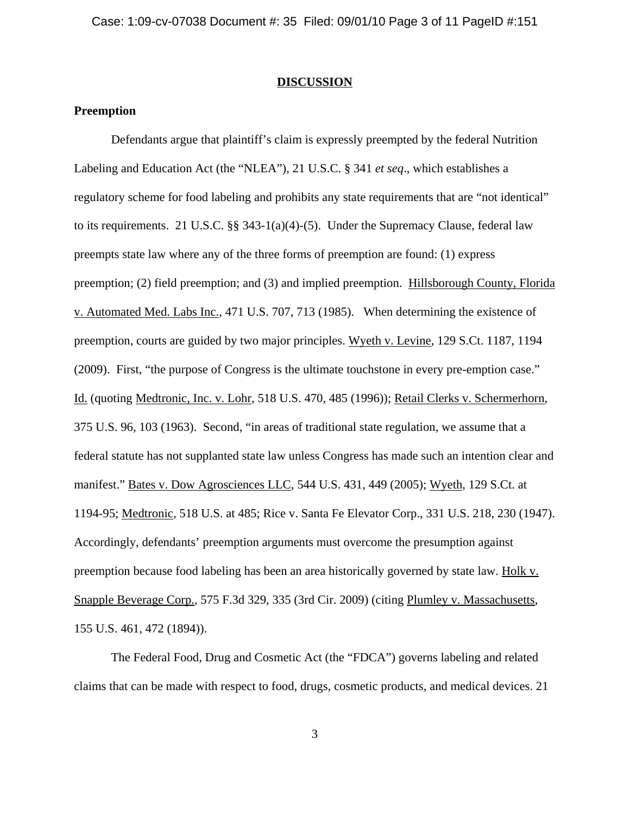#### **DISCUSSION**

## **Preemption**

Defendants argue that plaintiff's claim is expressly preempted by the federal Nutrition Labeling and Education Act (the "NLEA"), 21 U.S.C. § 341 *et seq*., which establishes a regulatory scheme for food labeling and prohibits any state requirements that are "not identical" to its requirements. 21 U.S.C. §§ 343-1(a)(4)-(5). Under the Supremacy Clause, federal law preempts state law where any of the three forms of preemption are found: (1) express preemption; (2) field preemption; and (3) and implied preemption. Hillsborough County, Florida v. Automated Med. Labs Inc., 471 U.S. 707, 713 (1985). When determining the existence of preemption, courts are guided by two major principles. Wyeth v. Levine, 129 S.Ct. 1187, 1194 (2009). First, "the purpose of Congress is the ultimate touchstone in every pre-emption case." Id. (quoting Medtronic, Inc. v. Lohr, 518 U.S. 470, 485 (1996)); Retail Clerks v. Schermerhorn, 375 U.S. 96, 103 (1963). Second, "in areas of traditional state regulation, we assume that a federal statute has not supplanted state law unless Congress has made such an intention clear and manifest." Bates v. Dow Agrosciences LLC, 544 U.S. 431, 449 (2005); Wyeth, 129 S.Ct. at 1194-95; Medtronic*,* 518 U.S. at 485; Rice v. Santa Fe Elevator Corp., 331 U.S. 218, 230 (1947). Accordingly, defendants' preemption arguments must overcome the presumption against preemption because food labeling has been an area historically governed by state law. Holk v. Snapple Beverage Corp., 575 F.3d 329, 335 (3rd Cir. 2009) (citing Plumley v. Massachusetts, 155 U.S. 461, 472 (1894)).

The Federal Food, Drug and Cosmetic Act (the "FDCA") governs labeling and related claims that can be made with respect to food, drugs, cosmetic products, and medical devices. 21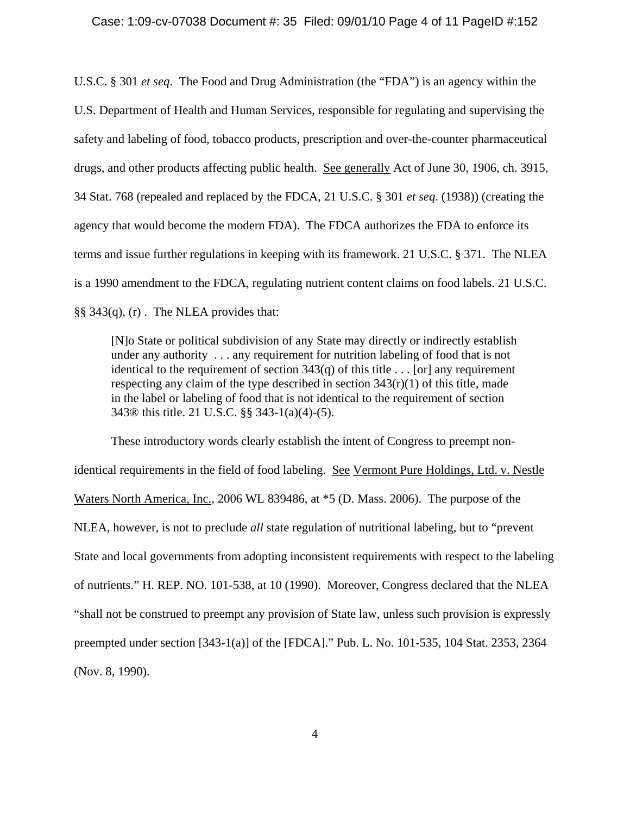U.S.C. § 301 *et seq*. The Food and Drug Administration (the "FDA") is an agency within the U.S. Department of Health and Human Services, responsible for regulating and supervising the safety and labeling of food, tobacco products, prescription and over-the-counter pharmaceutical drugs, and other products affecting public health. See generally Act of June 30, 1906, ch. 3915, 34 Stat. 768 (repealed and replaced by the FDCA, 21 U.S.C. § 301 *et seq*. (1938)) (creating the agency that would become the modern FDA). The FDCA authorizes the FDA to enforce its terms and issue further regulations in keeping with its framework. 21 U.S.C. § 371. The NLEA is a 1990 amendment to the FDCA, regulating nutrient content claims on food labels. 21 U.S.C. §§ 343(q), (r) . The NLEA provides that:

[N]o State or political subdivision of any State may directly or indirectly establish under any authority . . . any requirement for nutrition labeling of food that is not identical to the requirement of section  $343(q)$  of this title ... [or] any requirement respecting any claim of the type described in section  $343(r)(1)$  of this title, made in the label or labeling of food that is not identical to the requirement of section 343® this title. 21 U.S.C. §§ 343-1(a)(4)-(5).

These introductory words clearly establish the intent of Congress to preempt nonidentical requirements in the field of food labeling. See Vermont Pure Holdings, Ltd. v. Nestle Waters North America, Inc., 2006 WL 839486, at \*5 (D. Mass. 2006). The purpose of the NLEA, however, is not to preclude *all* state regulation of nutritional labeling, but to "prevent State and local governments from adopting inconsistent requirements with respect to the labeling of nutrients." H. REP. NO. 101-538, at 10 (1990). Moreover, Congress declared that the NLEA "shall not be construed to preempt any provision of State law, unless such provision is expressly preempted under section [343-1(a)] of the [FDCA]." Pub. L. No. 101-535, 104 Stat. 2353, 2364 (Nov. 8, 1990).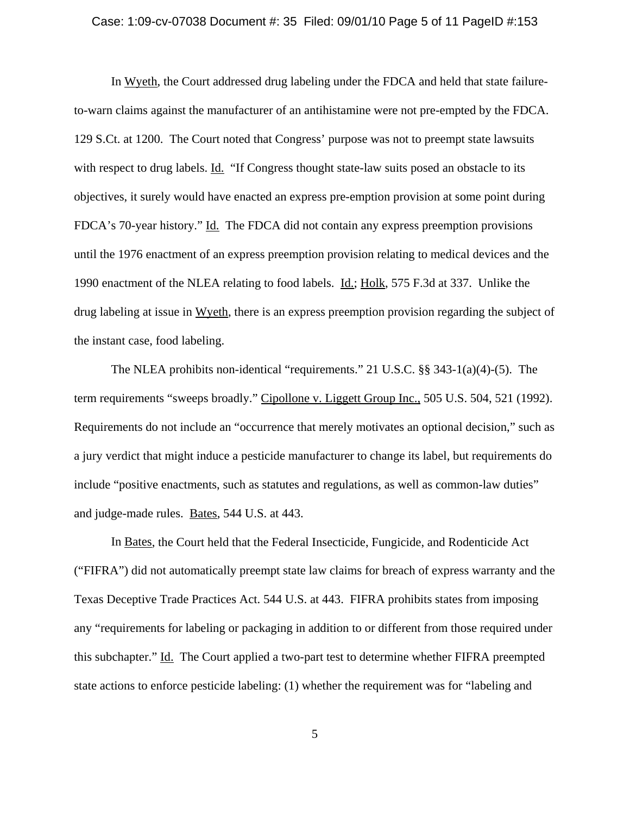## Case: 1:09-cv-07038 Document #: 35 Filed: 09/01/10 Page 5 of 11 PageID #:153

In Wyeth, the Court addressed drug labeling under the FDCA and held that state failureto-warn claims against the manufacturer of an antihistamine were not pre-empted by the FDCA. 129 S.Ct. at 1200. The Court noted that Congress' purpose was not to preempt state lawsuits with respect to drug labels. Id. "If Congress thought state-law suits posed an obstacle to its objectives, it surely would have enacted an express pre-emption provision at some point during FDCA's 70-year history." Id. The FDCA did not contain any express preemption provisions until the 1976 enactment of an express preemption provision relating to medical devices and the 1990 enactment of the NLEA relating to food labels. Id.; Holk, 575 F.3d at 337. Unlike the drug labeling at issue in Wyeth, there is an express preemption provision regarding the subject of the instant case, food labeling.

The NLEA prohibits non-identical "requirements." 21 U.S.C. §§ 343-1(a)(4)-(5). The term requirements "sweeps broadly." Cipollone v. Liggett Group Inc., 505 U.S. 504, 521 (1992). Requirements do not include an "occurrence that merely motivates an optional decision," such as a jury verdict that might induce a pesticide manufacturer to change its label, but requirements do include "positive enactments, such as statutes and regulations, as well as common-law duties" and judge-made rules. Bates, 544 U.S. at 443.

In Bates, the Court held that the Federal Insecticide, Fungicide, and Rodenticide Act ("FIFRA") did not automatically preempt state law claims for breach of express warranty and the Texas Deceptive Trade Practices Act. 544 U.S. at 443. FIFRA prohibits states from imposing any "requirements for labeling or packaging in addition to or different from those required under this subchapter." Id. The Court applied a two-part test to determine whether FIFRA preempted state actions to enforce pesticide labeling: (1) whether the requirement was for "labeling and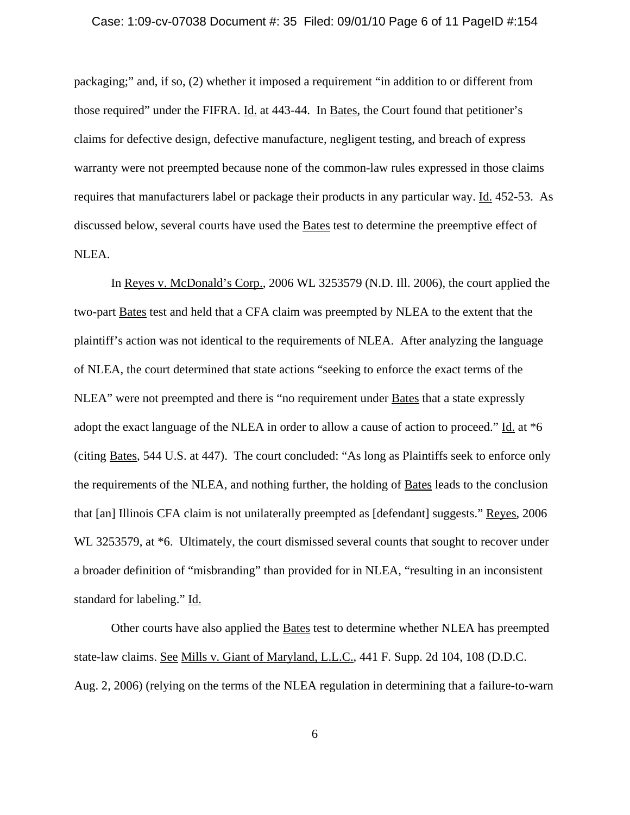### Case: 1:09-cv-07038 Document #: 35 Filed: 09/01/10 Page 6 of 11 PageID #:154

packaging;" and, if so, (2) whether it imposed a requirement "in addition to or different from those required" under the FIFRA. Id. at 443-44. In Bates, the Court found that petitioner's claims for defective design, defective manufacture, negligent testing, and breach of express warranty were not preempted because none of the common-law rules expressed in those claims requires that manufacturers label or package their products in any particular way. Id. 452-53. As discussed below, several courts have used the Bates test to determine the preemptive effect of NLEA.

In Reyes v. McDonald's Corp., 2006 WL 3253579 (N.D. Ill. 2006), the court applied the two-part Bates test and held that a CFA claim was preempted by NLEA to the extent that the plaintiff's action was not identical to the requirements of NLEA. After analyzing the language of NLEA, the court determined that state actions "seeking to enforce the exact terms of the NLEA" were not preempted and there is "no requirement under **Bates** that a state expressly adopt the exact language of the NLEA in order to allow a cause of action to proceed." Id. at \*6 (citing Bates, 544 U.S. at 447). The court concluded: "As long as Plaintiffs seek to enforce only the requirements of the NLEA, and nothing further, the holding of Bates leads to the conclusion that [an] Illinois CFA claim is not unilaterally preempted as [defendant] suggests." Reyes, 2006 WL 3253579, at  $*6$ . Ultimately, the court dismissed several counts that sought to recover under a broader definition of "misbranding" than provided for in NLEA, "resulting in an inconsistent standard for labeling." Id.

Other courts have also applied the Bates test to determine whether NLEA has preempted state-law claims. See Mills v. Giant of Maryland, L.L.C., 441 F. Supp. 2d 104, 108 (D.D.C. Aug. 2, 2006) (relying on the terms of the NLEA regulation in determining that a failure-to-warn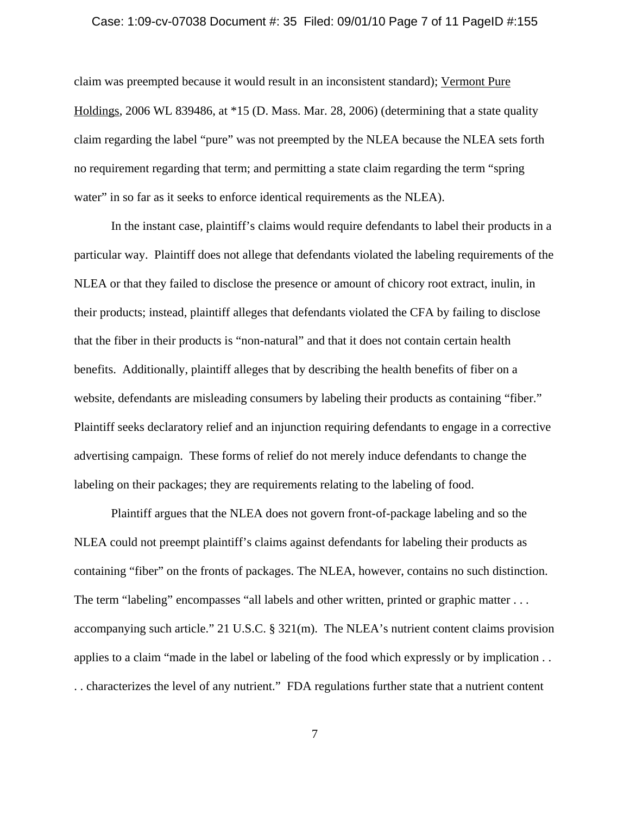### Case: 1:09-cv-07038 Document #: 35 Filed: 09/01/10 Page 7 of 11 PageID #:155

claim was preempted because it would result in an inconsistent standard); Vermont Pure Holdings, 2006 WL 839486, at \*15 (D. Mass. Mar. 28, 2006) (determining that a state quality claim regarding the label "pure" was not preempted by the NLEA because the NLEA sets forth no requirement regarding that term; and permitting a state claim regarding the term "spring water" in so far as it seeks to enforce identical requirements as the NLEA).

In the instant case, plaintiff's claims would require defendants to label their products in a particular way. Plaintiff does not allege that defendants violated the labeling requirements of the NLEA or that they failed to disclose the presence or amount of chicory root extract, inulin, in their products; instead, plaintiff alleges that defendants violated the CFA by failing to disclose that the fiber in their products is "non-natural" and that it does not contain certain health benefits. Additionally, plaintiff alleges that by describing the health benefits of fiber on a website, defendants are misleading consumers by labeling their products as containing "fiber." Plaintiff seeks declaratory relief and an injunction requiring defendants to engage in a corrective advertising campaign. These forms of relief do not merely induce defendants to change the labeling on their packages; they are requirements relating to the labeling of food.

Plaintiff argues that the NLEA does not govern front-of-package labeling and so the NLEA could not preempt plaintiff's claims against defendants for labeling their products as containing "fiber" on the fronts of packages. The NLEA, however, contains no such distinction. The term "labeling" encompasses "all labels and other written, printed or graphic matter ... accompanying such article." 21 U.S.C. § 321(m). The NLEA's nutrient content claims provision applies to a claim "made in the label or labeling of the food which expressly or by implication . . . . characterizes the level of any nutrient." FDA regulations further state that a nutrient content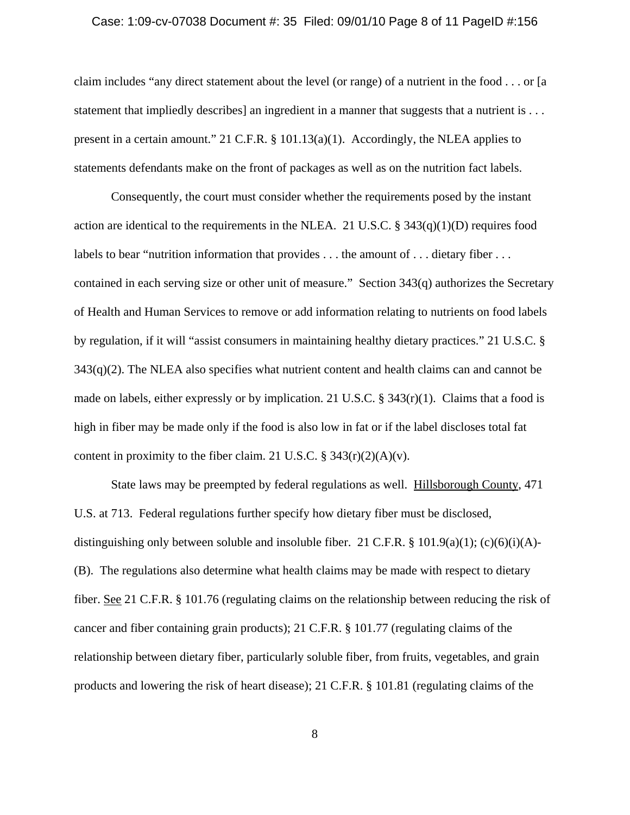### Case: 1:09-cv-07038 Document #: 35 Filed: 09/01/10 Page 8 of 11 PageID #:156

claim includes "any direct statement about the level (or range) of a nutrient in the food . . . or [a statement that impliedly describes] an ingredient in a manner that suggests that a nutrient is . . . present in a certain amount." 21 C.F.R. § 101.13(a)(1). Accordingly, the NLEA applies to statements defendants make on the front of packages as well as on the nutrition fact labels.

Consequently, the court must consider whether the requirements posed by the instant action are identical to the requirements in the NLEA. 21 U.S.C. §  $343(q)(1)(D)$  requires food labels to bear "nutrition information that provides . . . the amount of . . . dietary fiber . . . contained in each serving size or other unit of measure." Section 343(q) authorizes the Secretary of Health and Human Services to remove or add information relating to nutrients on food labels by regulation, if it will "assist consumers in maintaining healthy dietary practices." 21 U.S.C. §  $343(q)(2)$ . The NLEA also specifies what nutrient content and health claims can and cannot be made on labels, either expressly or by implication. 21 U.S.C.  $\S 343(r)(1)$ . Claims that a food is high in fiber may be made only if the food is also low in fat or if the label discloses total fat content in proximity to the fiber claim. 21 U.S.C.  $\S 343(r)(2)(A)(v)$ .

State laws may be preempted by federal regulations as well. Hillsborough County, 471 U.S. at 713. Federal regulations further specify how dietary fiber must be disclosed, distinguishing only between soluble and insoluble fiber. 21 C.F.R.  $\S$  101.9(a)(1); (c)(6)(i)(A)-(B). The regulations also determine what health claims may be made with respect to dietary fiber. See 21 C.F.R. § 101.76 (regulating claims on the relationship between reducing the risk of cancer and fiber containing grain products); 21 C.F.R. § 101.77 (regulating claims of the relationship between dietary fiber, particularly soluble fiber, from fruits, vegetables, and grain products and lowering the risk of heart disease); 21 C.F.R. § 101.81 (regulating claims of the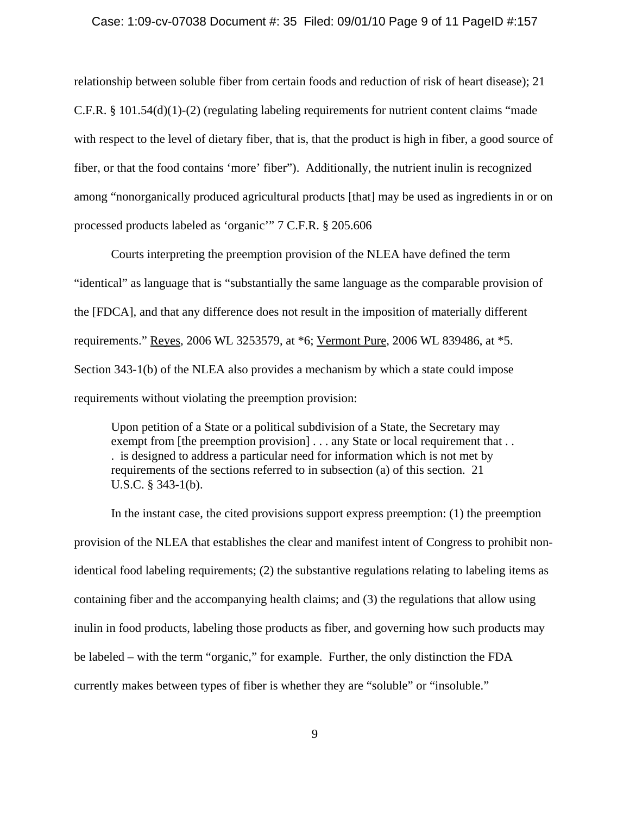#### Case: 1:09-cv-07038 Document #: 35 Filed: 09/01/10 Page 9 of 11 PageID #:157

relationship between soluble fiber from certain foods and reduction of risk of heart disease); 21 C.F.R. § 101.54(d)(1)-(2) (regulating labeling requirements for nutrient content claims "made with respect to the level of dietary fiber, that is, that the product is high in fiber, a good source of fiber, or that the food contains 'more' fiber"). Additionally, the nutrient inulin is recognized among "nonorganically produced agricultural products [that] may be used as ingredients in or on processed products labeled as 'organic'" 7 C.F.R. § 205.606

Courts interpreting the preemption provision of the NLEA have defined the term "identical" as language that is "substantially the same language as the comparable provision of the [FDCA], and that any difference does not result in the imposition of materially different requirements." Reyes, 2006 WL 3253579, at \*6; Vermont Pure, 2006 WL 839486, at \*5. Section 343-1(b) of the NLEA also provides a mechanism by which a state could impose requirements without violating the preemption provision:

Upon petition of a State or a political subdivision of a State, the Secretary may exempt from [the preemption provision] . . . any State or local requirement that . . . is designed to address a particular need for information which is not met by requirements of the sections referred to in subsection (a) of this section. 21 U.S.C. § 343-1(b).

In the instant case, the cited provisions support express preemption: (1) the preemption provision of the NLEA that establishes the clear and manifest intent of Congress to prohibit nonidentical food labeling requirements; (2) the substantive regulations relating to labeling items as containing fiber and the accompanying health claims; and (3) the regulations that allow using inulin in food products, labeling those products as fiber, and governing how such products may be labeled – with the term "organic," for example. Further, the only distinction the FDA currently makes between types of fiber is whether they are "soluble" or "insoluble."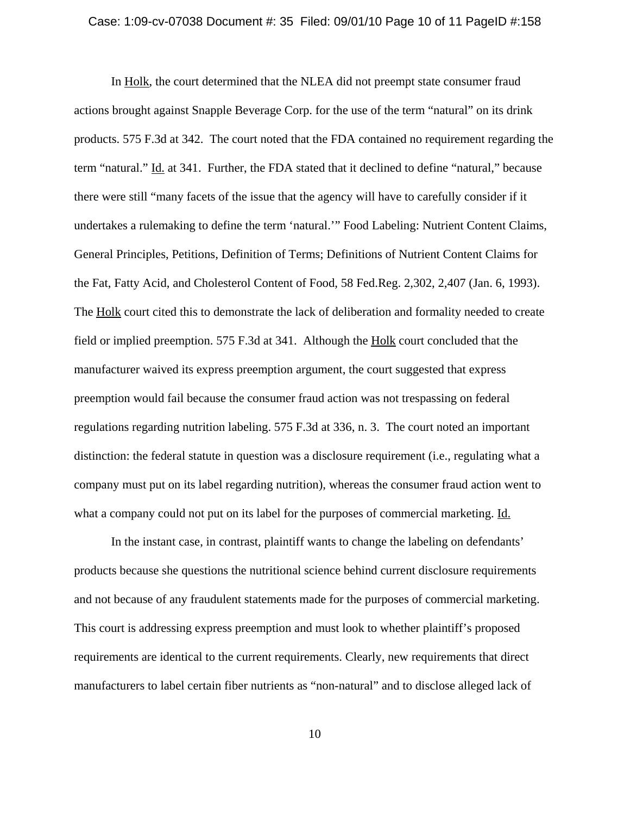### Case: 1:09-cv-07038 Document #: 35 Filed: 09/01/10 Page 10 of 11 PageID #:158

In Holk, the court determined that the NLEA did not preempt state consumer fraud actions brought against Snapple Beverage Corp. for the use of the term "natural" on its drink products. 575 F.3d at 342. The court noted that the FDA contained no requirement regarding the term "natural." Id. at 341. Further, the FDA stated that it declined to define "natural," because there were still "many facets of the issue that the agency will have to carefully consider if it undertakes a rulemaking to define the term 'natural.'" Food Labeling: Nutrient Content Claims, General Principles, Petitions, Definition of Terms; Definitions of Nutrient Content Claims for the Fat, Fatty Acid, and Cholesterol Content of Food, 58 Fed.Reg. 2,302, 2,407 (Jan. 6, 1993). The Holk court cited this to demonstrate the lack of deliberation and formality needed to create field or implied preemption. 575 F.3d at 341. Although the Holk court concluded that the manufacturer waived its express preemption argument, the court suggested that express preemption would fail because the consumer fraud action was not trespassing on federal regulations regarding nutrition labeling. 575 F.3d at 336, n. 3. The court noted an important distinction: the federal statute in question was a disclosure requirement (i.e., regulating what a company must put on its label regarding nutrition), whereas the consumer fraud action went to what a company could not put on its label for the purposes of commercial marketing. Id.

In the instant case, in contrast, plaintiff wants to change the labeling on defendants' products because she questions the nutritional science behind current disclosure requirements and not because of any fraudulent statements made for the purposes of commercial marketing. This court is addressing express preemption and must look to whether plaintiff's proposed requirements are identical to the current requirements. Clearly, new requirements that direct manufacturers to label certain fiber nutrients as "non-natural" and to disclose alleged lack of